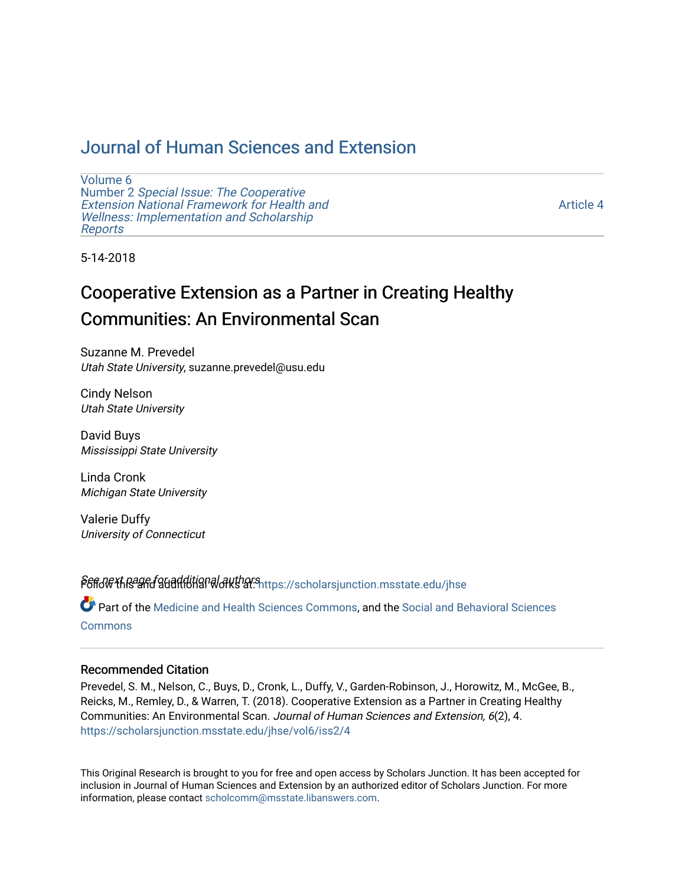# [Journal of Human Sciences and Extension](https://scholarsjunction.msstate.edu/jhse)

[Volume 6](https://scholarsjunction.msstate.edu/jhse/vol6) Number 2 [Special Issue: The Cooperative](https://scholarsjunction.msstate.edu/jhse/vol6/iss2)  [Extension National Framework for Health and](https://scholarsjunction.msstate.edu/jhse/vol6/iss2) [Wellness: Implementation and Scholarship](https://scholarsjunction.msstate.edu/jhse/vol6/iss2)  [Reports](https://scholarsjunction.msstate.edu/jhse/vol6/iss2)

[Article 4](https://scholarsjunction.msstate.edu/jhse/vol6/iss2/4) 

5-14-2018

# Cooperative Extension as a Partner in Creating Healthy Communities: An Environmental Scan

Suzanne M. Prevedel Utah State University, suzanne.prevedel@usu.edu

Cindy Nelson Utah State University

David Buys Mississippi State University

Linda Cronk Michigan State University

Valerie Duffy University of Connecticut

PGfid\G\*thage found ditional authors at: [https://scholarsjunction.msstate.edu/jhse](https://scholarsjunction.msstate.edu/jhse?utm_source=scholarsjunction.msstate.edu%2Fjhse%2Fvol6%2Fiss2%2F4&utm_medium=PDF&utm_campaign=PDFCoverPages)

Part of the [Medicine and Health Sciences Commons,](http://network.bepress.com/hgg/discipline/648?utm_source=scholarsjunction.msstate.edu%2Fjhse%2Fvol6%2Fiss2%2F4&utm_medium=PDF&utm_campaign=PDFCoverPages) and the [Social and Behavioral Sciences](http://network.bepress.com/hgg/discipline/316?utm_source=scholarsjunction.msstate.edu%2Fjhse%2Fvol6%2Fiss2%2F4&utm_medium=PDF&utm_campaign=PDFCoverPages) **[Commons](http://network.bepress.com/hgg/discipline/316?utm_source=scholarsjunction.msstate.edu%2Fjhse%2Fvol6%2Fiss2%2F4&utm_medium=PDF&utm_campaign=PDFCoverPages)** 

#### Recommended Citation

Prevedel, S. M., Nelson, C., Buys, D., Cronk, L., Duffy, V., Garden-Robinson, J., Horowitz, M., McGee, B., Reicks, M., Remley, D., & Warren, T. (2018). Cooperative Extension as a Partner in Creating Healthy Communities: An Environmental Scan. Journal of Human Sciences and Extension, 6(2), 4. [https://scholarsjunction.msstate.edu/jhse/vol6/iss2/4](https://scholarsjunction.msstate.edu/jhse/vol6/iss2/4?utm_source=scholarsjunction.msstate.edu%2Fjhse%2Fvol6%2Fiss2%2F4&utm_medium=PDF&utm_campaign=PDFCoverPages)

This Original Research is brought to you for free and open access by Scholars Junction. It has been accepted for inclusion in Journal of Human Sciences and Extension by an authorized editor of Scholars Junction. For more information, please contact [scholcomm@msstate.libanswers.com](mailto:scholcomm@msstate.libanswers.com).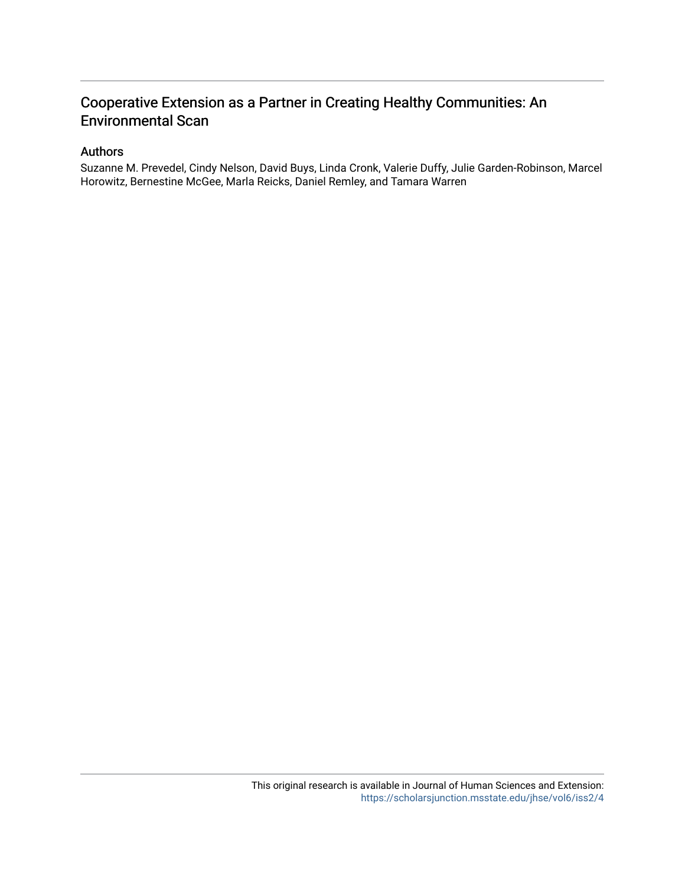# Cooperative Extension as a Partner in Creating Healthy Communities: An Environmental Scan

#### Authors

Suzanne M. Prevedel, Cindy Nelson, David Buys, Linda Cronk, Valerie Duffy, Julie Garden-Robinson, Marcel Horowitz, Bernestine McGee, Marla Reicks, Daniel Remley, and Tamara Warren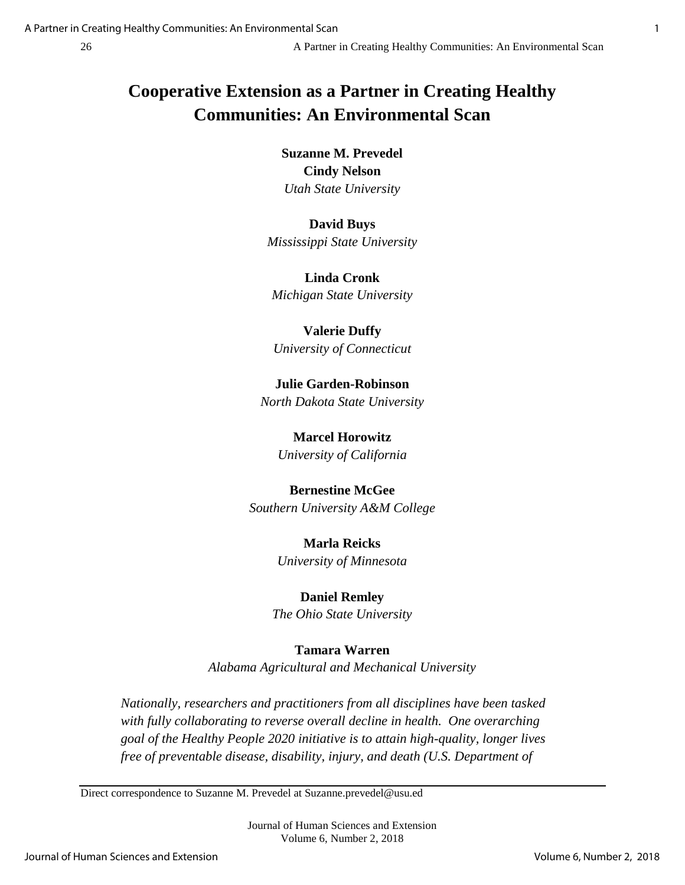# **Cooperative Extension as a Partner in Creating Healthy Communities: An Environmental Scan**

**Suzanne M. Prevedel Cindy Nelson** *Utah State University*

**David Buys** *Mississippi State University*

**Linda Cronk** *Michigan State University*

**Valerie Duffy** *University of Connecticut*

**Julie Garden-Robinson** *North Dakota State University*

> **Marcel Horowitz** *University of California*

# **Bernestine McGee**

*Southern University A&M College*

**Marla Reicks** *University of Minnesota*

## **Daniel Remley**

*The Ohio State University*

### **Tamara Warren**

*Alabama Agricultural and Mechanical University*

*Nationally, researchers and practitioners from all disciplines have been tasked with fully collaborating to reverse overall decline in health. One overarching goal of the Healthy People 2020 initiative is to attain high-quality, longer lives free of preventable disease, disability, injury, and death (U.S. Department of*

Direct correspondence to Suzanne M. Prevedel at Suzanne.prevedel@usu.ed

Journal of Human Sciences and Extension Volume 6, Number 2, 2018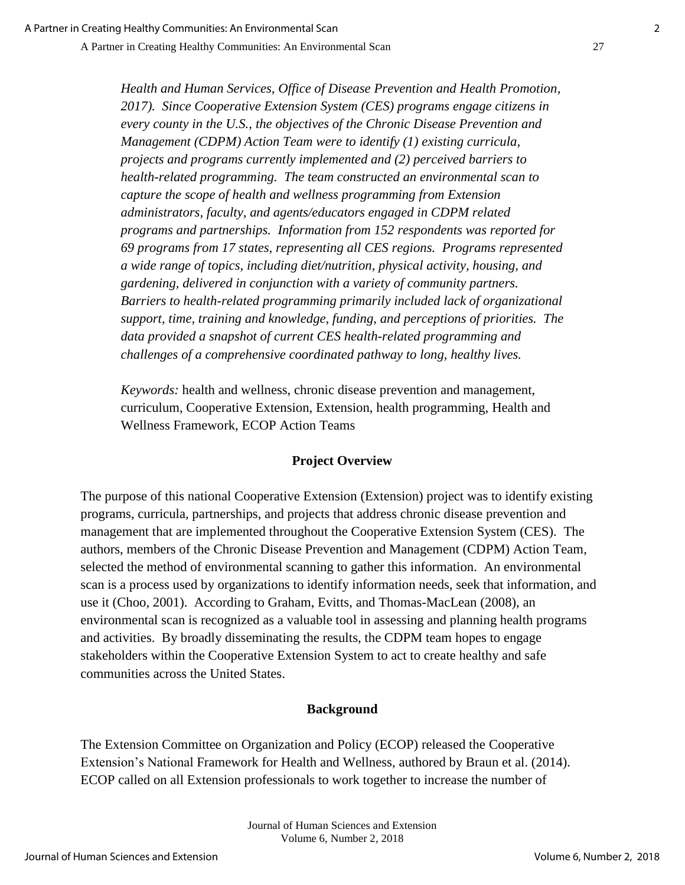A Partner in Creating Healthy Communities: An Environmental Scan 27

*Health and Human Services, Office of Disease Prevention and Health Promotion, 2017). Since Cooperative Extension System (CES) programs engage citizens in every county in the U.S., the objectives of the Chronic Disease Prevention and Management (CDPM) Action Team were to identify (1) existing curricula, projects and programs currently implemented and (2) perceived barriers to health-related programming. The team constructed an environmental scan to capture the scope of health and wellness programming from Extension administrators, faculty, and agents/educators engaged in CDPM related programs and partnerships. Information from 152 respondents was reported for 69 programs from 17 states, representing all CES regions. Programs represented a wide range of topics, including diet/nutrition, physical activity, housing, and gardening, delivered in conjunction with a variety of community partners. Barriers to health-related programming primarily included lack of organizational support, time, training and knowledge, funding, and perceptions of priorities. The data provided a snapshot of current CES health-related programming and challenges of a comprehensive coordinated pathway to long, healthy lives.*

*Keywords:* health and wellness, chronic disease prevention and management, curriculum, Cooperative Extension, Extension, health programming, Health and Wellness Framework, ECOP Action Teams

### **Project Overview**

The purpose of this national Cooperative Extension (Extension) project was to identify existing programs, curricula, partnerships, and projects that address chronic disease prevention and management that are implemented throughout the Cooperative Extension System (CES). The authors, members of the Chronic Disease Prevention and Management (CDPM) Action Team, selected the method of environmental scanning to gather this information. An environmental scan is a process used by organizations to identify information needs, seek that information, and use it (Choo, 2001). According to Graham, Evitts, and Thomas-MacLean (2008), an environmental scan is recognized as a valuable tool in assessing and planning health programs and activities. By broadly disseminating the results, the CDPM team hopes to engage stakeholders within the Cooperative Extension System to act to create healthy and safe communities across the United States.

### **Background**

The Extension Committee on Organization and Policy (ECOP) released the Cooperative Extension's National Framework for Health and Wellness, authored by Braun et al. (2014). ECOP called on all Extension professionals to work together to increase the number of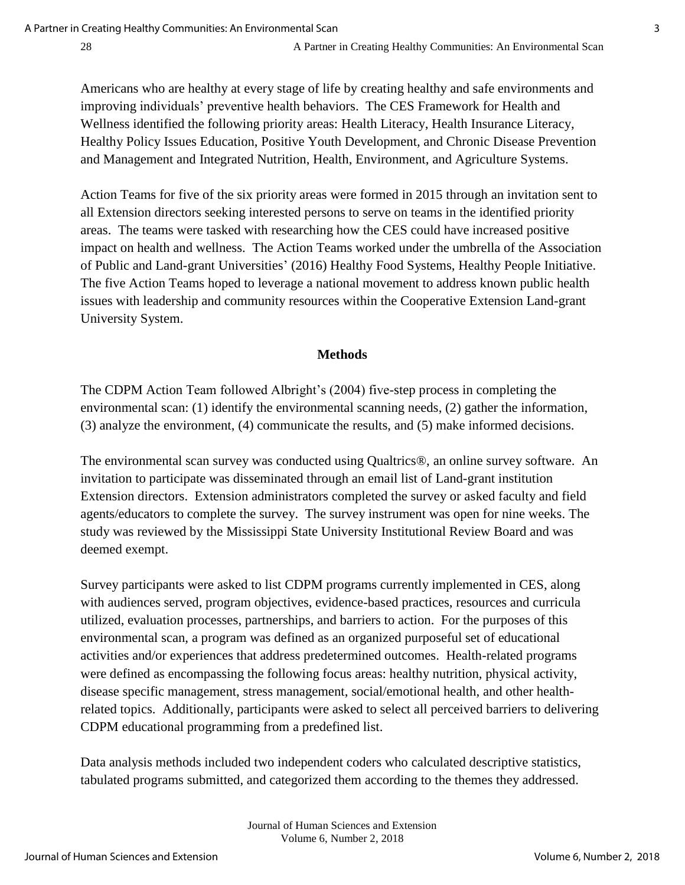Americans who are healthy at every stage of life by creating healthy and safe environments and improving individuals' preventive health behaviors. The CES Framework for Health and Wellness identified the following priority areas: Health Literacy, Health Insurance Literacy, Healthy Policy Issues Education, Positive Youth Development, and Chronic Disease Prevention and Management and Integrated Nutrition, Health, Environment, and Agriculture Systems.

Action Teams for five of the six priority areas were formed in 2015 through an invitation sent to all Extension directors seeking interested persons to serve on teams in the identified priority areas. The teams were tasked with researching how the CES could have increased positive impact on health and wellness. The Action Teams worked under the umbrella of the Association of Public and Land-grant Universities' (2016) Healthy Food Systems, Healthy People Initiative. The five Action Teams hoped to leverage a national movement to address known public health issues with leadership and community resources within the Cooperative Extension Land-grant University System.

#### **Methods**

The CDPM Action Team followed Albright's (2004) five-step process in completing the environmental scan: (1) identify the environmental scanning needs, (2) gather the information, (3) analyze the environment, (4) communicate the results, and (5) make informed decisions.

The environmental scan survey was conducted using Qualtrics®, an online survey software. An invitation to participate was disseminated through an email list of Land-grant institution Extension directors. Extension administrators completed the survey or asked faculty and field agents/educators to complete the survey. The survey instrument was open for nine weeks. The study was reviewed by the Mississippi State University Institutional Review Board and was deemed exempt.

Survey participants were asked to list CDPM programs currently implemented in CES, along with audiences served, program objectives, evidence-based practices, resources and curricula utilized, evaluation processes, partnerships, and barriers to action. For the purposes of this environmental scan, a program was defined as an organized purposeful set of educational activities and/or experiences that address predetermined outcomes. Health-related programs were defined as encompassing the following focus areas: healthy nutrition, physical activity, disease specific management, stress management, social/emotional health, and other healthrelated topics. Additionally, participants were asked to select all perceived barriers to delivering CDPM educational programming from a predefined list.

Data analysis methods included two independent coders who calculated descriptive statistics, tabulated programs submitted, and categorized them according to the themes they addressed.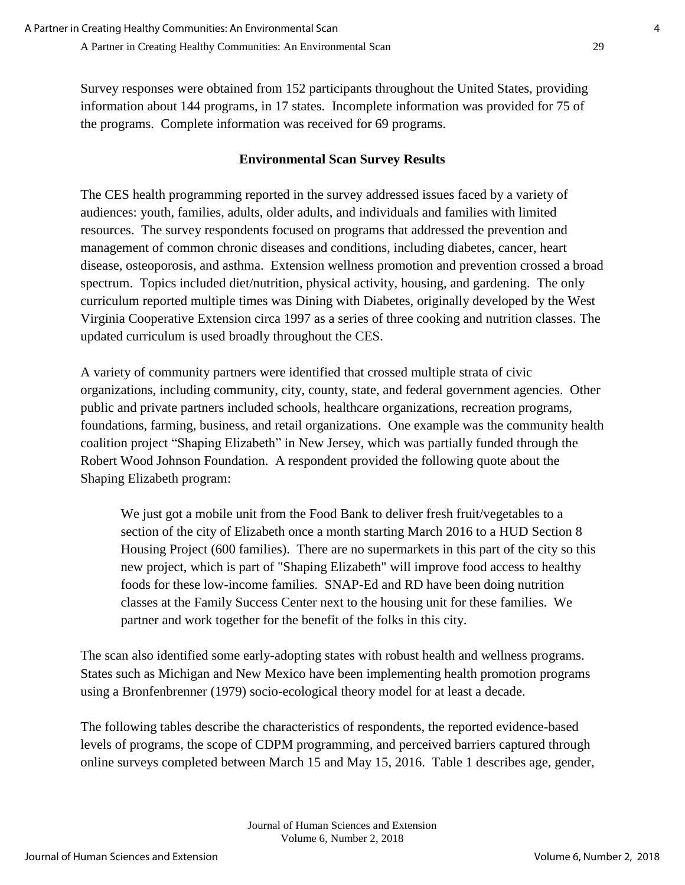Survey responses were obtained from 152 participants throughout the United States, providing information about 144 programs, in 17 states. Incomplete information was provided for 75 of the programs. Complete information was received for 69 programs.

### **Environmental Scan Survey Results**

The CES health programming reported in the survey addressed issues faced by a variety of audiences: youth, families, adults, older adults, and individuals and families with limited resources. The survey respondents focused on programs that addressed the prevention and management of common chronic diseases and conditions, including diabetes, cancer, heart disease, osteoporosis, and asthma. Extension wellness promotion and prevention crossed a broad spectrum. Topics included diet/nutrition, physical activity, housing, and gardening. The only curriculum reported multiple times was Dining with Diabetes, originally developed by the West Virginia Cooperative Extension circa 1997 as a series of three cooking and nutrition classes. The updated curriculum is used broadly throughout the CES.

A variety of community partners were identified that crossed multiple strata of civic organizations, including community, city, county, state, and federal government agencies. Other public and private partners included schools, healthcare organizations, recreation programs, foundations, farming, business, and retail organizations. One example was the community health coalition project "Shaping Elizabeth" in New Jersey, which was partially funded through the Robert Wood Johnson Foundation. A respondent provided the following quote about the Shaping Elizabeth program:

We just got a mobile unit from the Food Bank to deliver fresh fruit/vegetables to a section of the city of Elizabeth once a month starting March 2016 to a HUD Section 8 Housing Project (600 families). There are no supermarkets in this part of the city so this new project, which is part of "Shaping Elizabeth" will improve food access to healthy foods for these low-income families. SNAP-Ed and RD have been doing nutrition classes at the Family Success Center next to the housing unit for these families. We partner and work together for the benefit of the folks in this city.

The scan also identified some early-adopting states with robust health and wellness programs. States such as Michigan and New Mexico have been implementing health promotion programs using a Bronfenbrenner (1979) socio-ecological theory model for at least a decade.

The following tables describe the characteristics of respondents, the reported evidence-based levels of programs, the scope of CDPM programming, and perceived barriers captured through online surveys completed between March 15 and May 15, 2016. Table 1 describes age, gender,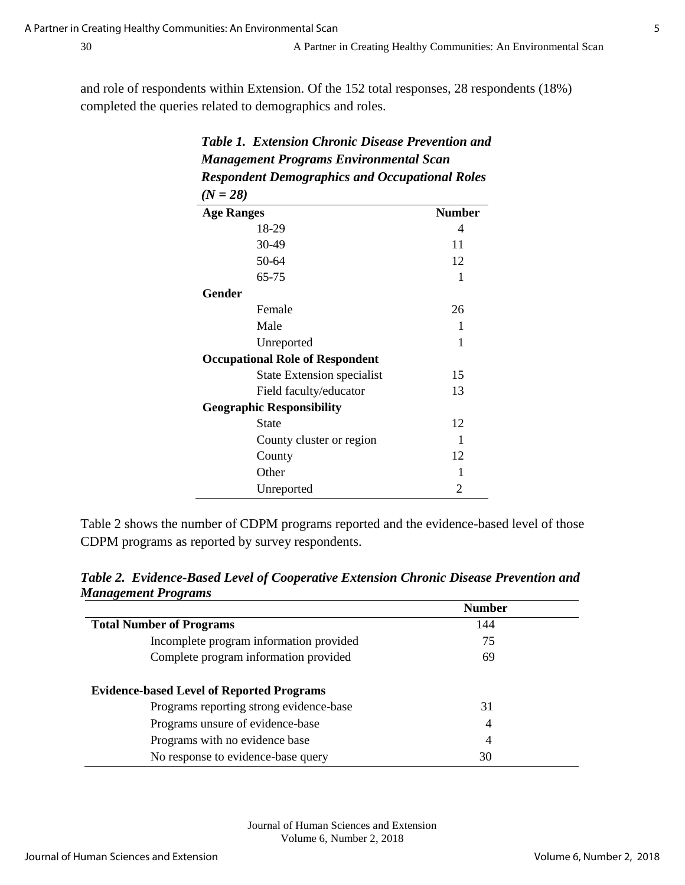and role of respondents within Extension. Of the 152 total responses, 28 respondents (18%) completed the queries related to demographics and roles.

| <b>Table 1. Extension Chronic Disease Prevention and</b><br><b>Management Programs Environmental Scan</b><br><b>Respondent Demographics and Occupational Roles</b> |    |  |  |                   |               |
|--------------------------------------------------------------------------------------------------------------------------------------------------------------------|----|--|--|-------------------|---------------|
|                                                                                                                                                                    |    |  |  | $(N = 28)$        |               |
|                                                                                                                                                                    |    |  |  | <b>Age Ranges</b> | <b>Number</b> |
| 18-29                                                                                                                                                              | 4  |  |  |                   |               |
| 30-49                                                                                                                                                              | 11 |  |  |                   |               |
| 50-64                                                                                                                                                              | 12 |  |  |                   |               |
| 65-75                                                                                                                                                              | 1  |  |  |                   |               |
| Gender                                                                                                                                                             |    |  |  |                   |               |
| Female                                                                                                                                                             | 26 |  |  |                   |               |
| Male                                                                                                                                                               | 1  |  |  |                   |               |
| Unreported                                                                                                                                                         | 1  |  |  |                   |               |
| <b>Occupational Role of Respondent</b>                                                                                                                             |    |  |  |                   |               |
| <b>State Extension specialist</b>                                                                                                                                  | 15 |  |  |                   |               |
| Field faculty/educator                                                                                                                                             | 13 |  |  |                   |               |
| <b>Geographic Responsibility</b>                                                                                                                                   |    |  |  |                   |               |
| <b>State</b>                                                                                                                                                       | 12 |  |  |                   |               |
| County cluster or region                                                                                                                                           | 1  |  |  |                   |               |
| County                                                                                                                                                             | 12 |  |  |                   |               |
| Other                                                                                                                                                              | 1  |  |  |                   |               |
| Unreported                                                                                                                                                         | 2  |  |  |                   |               |

Table 2 shows the number of CDPM programs reported and the evidence-based level of those CDPM programs as reported by survey respondents.

*Table 2. Evidence-Based Level of Cooperative Extension Chronic Disease Prevention and Management Programs*

|                                                  | <b>Number</b>  |  |
|--------------------------------------------------|----------------|--|
| <b>Total Number of Programs</b>                  | 144            |  |
| Incomplete program information provided          | 75             |  |
| Complete program information provided            | 69             |  |
| <b>Evidence-based Level of Reported Programs</b> |                |  |
| Programs reporting strong evidence-base          | 31             |  |
| Programs unsure of evidence-base                 | $\overline{4}$ |  |
| Programs with no evidence base                   | $\overline{4}$ |  |
| No response to evidence-base query               | 30             |  |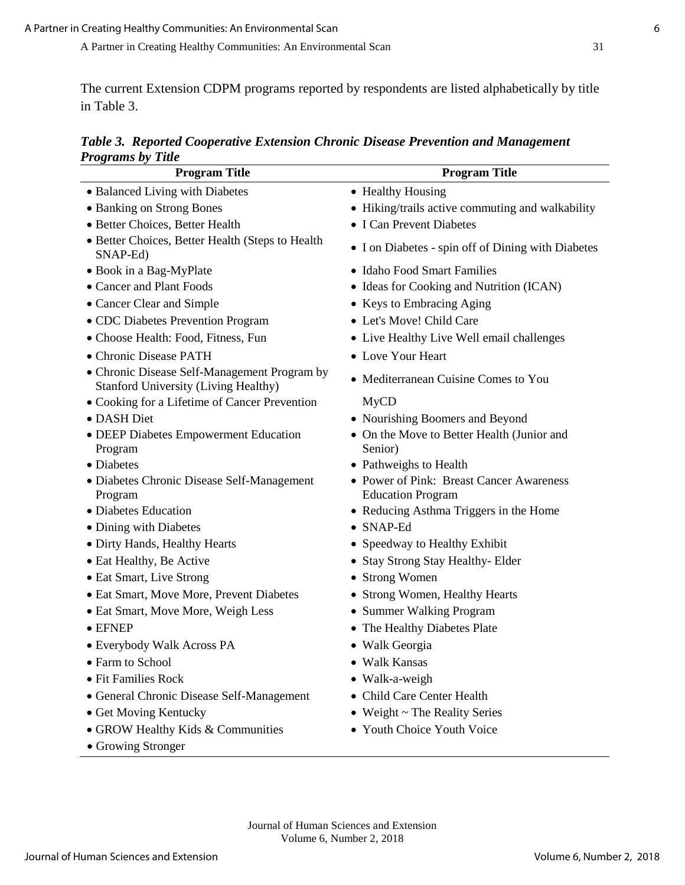The current Extension CDPM programs reported by respondents are listed alphabetically by title in Table 3.

*Table 3. Reported Cooperative Extension Chronic Disease Prevention and Management Programs by Title*

| <i><b>Frograms by Tute</b></i><br><b>Program Title</b>                                      | <b>Program Title</b>                                                 |
|---------------------------------------------------------------------------------------------|----------------------------------------------------------------------|
| • Balanced Living with Diabetes                                                             | • Healthy Housing                                                    |
| • Banking on Strong Bones                                                                   | • Hiking/trails active commuting and walkability                     |
| · Better Choices, Better Health                                                             | • I Can Prevent Diabetes                                             |
| • Better Choices, Better Health (Steps to Health<br>SNAP-Ed)                                | • I on Diabetes - spin off of Dining with Diabetes                   |
| • Book in a Bag-MyPlate                                                                     | • Idaho Food Smart Families                                          |
| • Cancer and Plant Foods                                                                    | • Ideas for Cooking and Nutrition (ICAN)                             |
| • Cancer Clear and Simple                                                                   | • Keys to Embracing Aging                                            |
| • CDC Diabetes Prevention Program                                                           | • Let's Move! Child Care                                             |
| • Choose Health: Food, Fitness, Fun                                                         | • Live Healthy Live Well email challenges                            |
| • Chronic Disease PATH                                                                      | • Love Your Heart                                                    |
| • Chronic Disease Self-Management Program by<br><b>Stanford University (Living Healthy)</b> | • Mediterranean Cuisine Comes to You                                 |
| • Cooking for a Lifetime of Cancer Prevention                                               | <b>MyCD</b>                                                          |
| · DASH Diet                                                                                 | • Nourishing Boomers and Beyond                                      |
| · DEEP Diabetes Empowerment Education<br>Program                                            | • On the Move to Better Health (Junior and<br>Senior)                |
| • Diabetes                                                                                  | • Pathweighs to Health                                               |
| • Diabetes Chronic Disease Self-Management<br>Program                                       | • Power of Pink: Breast Cancer Awareness<br><b>Education Program</b> |
| • Diabetes Education                                                                        | • Reducing Asthma Triggers in the Home                               |
| • Dining with Diabetes                                                                      | $\bullet$ SNAP-Ed                                                    |
| • Dirty Hands, Healthy Hearts                                                               | • Speedway to Healthy Exhibit                                        |
| • Eat Healthy, Be Active                                                                    | Stay Strong Stay Healthy-Elder                                       |
| • Eat Smart, Live Strong                                                                    | <b>Strong Women</b><br>$\bullet$                                     |
| • Eat Smart, Move More, Prevent Diabetes                                                    | Strong Women, Healthy Hearts                                         |
| • Eat Smart, Move More, Weigh Less                                                          | • Summer Walking Program                                             |
| $\bullet$ EFNEP                                                                             | • The Healthy Diabetes Plate                                         |
| · Everybody Walk Across PA                                                                  | • Walk Georgia                                                       |
| • Farm to School                                                                            | Walk Kansas                                                          |
| • Fit Families Rock                                                                         | • Walk-a-weigh                                                       |
| · General Chronic Disease Self-Management                                                   | Child Care Center Health                                             |
| • Get Moving Kentucky                                                                       | • Weight ~ The Reality Series                                        |
| • GROW Healthy Kids & Communities                                                           | • Youth Choice Youth Voice                                           |
| • Growing Stronger                                                                          |                                                                      |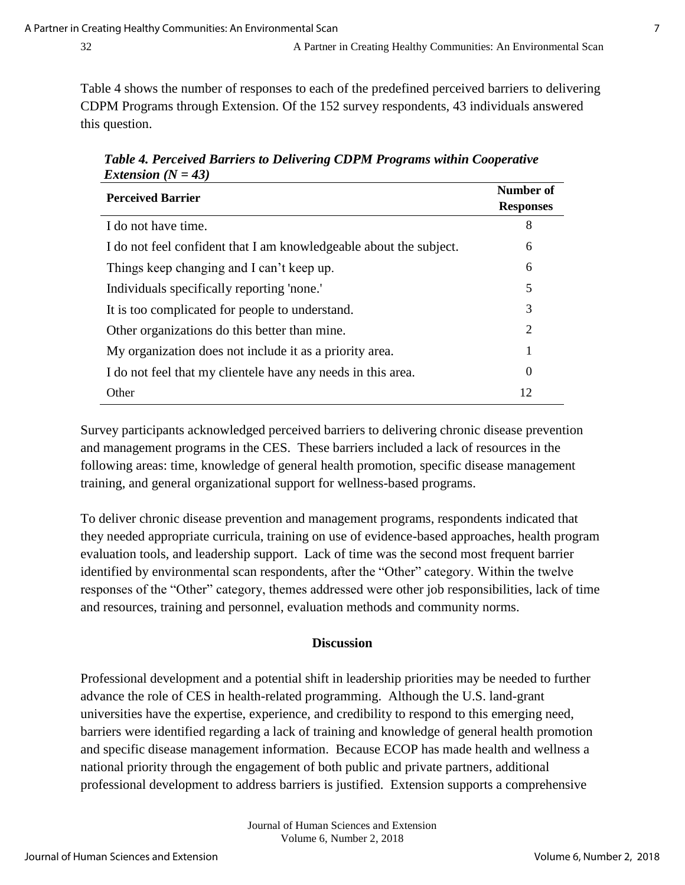Table 4 shows the number of responses to each of the predefined perceived barriers to delivering CDPM Programs through Extension. Of the 152 survey respondents, 43 individuals answered this question.

 *Table 4. Perceived Barriers to Delivering CDPM Programs within Cooperative Extension (N = 43)* 

| <b>Perceived Barrier</b>                                           | Number of<br><b>Responses</b> |
|--------------------------------------------------------------------|-------------------------------|
| I do not have time.                                                | 8                             |
| I do not feel confident that I am knowledgeable about the subject. | 6                             |
| Things keep changing and I can't keep up.                          | 6                             |
| Individuals specifically reporting 'none.'                         | 5                             |
| It is too complicated for people to understand.                    | 3                             |
| Other organizations do this better than mine.                      | 2                             |
| My organization does not include it as a priority area.            | 1                             |
| I do not feel that my clientele have any needs in this area.       | $\theta$                      |
| Other                                                              | 12                            |

Survey participants acknowledged perceived barriers to delivering chronic disease prevention and management programs in the CES. These barriers included a lack of resources in the following areas: time, knowledge of general health promotion, specific disease management training, and general organizational support for wellness-based programs.

To deliver chronic disease prevention and management programs, respondents indicated that they needed appropriate curricula, training on use of evidence-based approaches, health program evaluation tools, and leadership support. Lack of time was the second most frequent barrier identified by environmental scan respondents, after the "Other" category. Within the twelve responses of the "Other" category, themes addressed were other job responsibilities, lack of time and resources, training and personnel, evaluation methods and community norms.

#### **Discussion**

Professional development and a potential shift in leadership priorities may be needed to further advance the role of CES in health-related programming. Although the U.S. land-grant universities have the expertise, experience, and credibility to respond to this emerging need, barriers were identified regarding a lack of training and knowledge of general health promotion and specific disease management information. Because ECOP has made health and wellness a national priority through the engagement of both public and private partners, additional professional development to address barriers is justified. Extension supports a comprehensive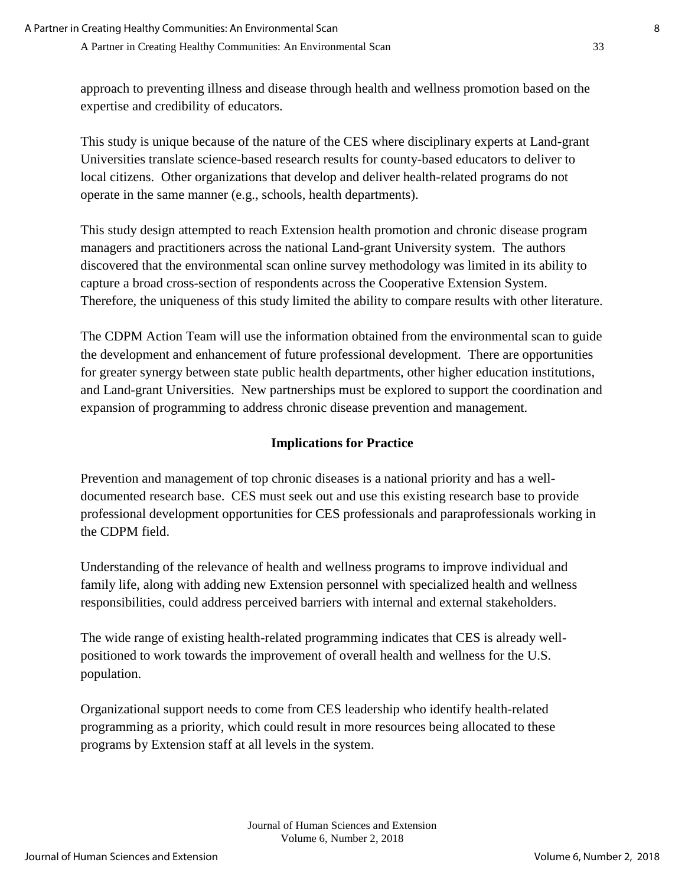approach to preventing illness and disease through health and wellness promotion based on the expertise and credibility of educators.

This study is unique because of the nature of the CES where disciplinary experts at Land-grant Universities translate science-based research results for county-based educators to deliver to local citizens. Other organizations that develop and deliver health-related programs do not operate in the same manner (e.g., schools, health departments).

This study design attempted to reach Extension health promotion and chronic disease program managers and practitioners across the national Land-grant University system. The authors discovered that the environmental scan online survey methodology was limited in its ability to capture a broad cross-section of respondents across the Cooperative Extension System. Therefore, the uniqueness of this study limited the ability to compare results with other literature.

The CDPM Action Team will use the information obtained from the environmental scan to guide the development and enhancement of future professional development. There are opportunities for greater synergy between state public health departments, other higher education institutions, and Land-grant Universities. New partnerships must be explored to support the coordination and expansion of programming to address chronic disease prevention and management.

## **Implications for Practice**

Prevention and management of top chronic diseases is a national priority and has a welldocumented research base. CES must seek out and use this existing research base to provide professional development opportunities for CES professionals and paraprofessionals working in the CDPM field.

Understanding of the relevance of health and wellness programs to improve individual and family life, along with adding new Extension personnel with specialized health and wellness responsibilities, could address perceived barriers with internal and external stakeholders.

The wide range of existing health-related programming indicates that CES is already wellpositioned to work towards the improvement of overall health and wellness for the U.S. population.

Organizational support needs to come from CES leadership who identify health-related programming as a priority, which could result in more resources being allocated to these programs by Extension staff at all levels in the system.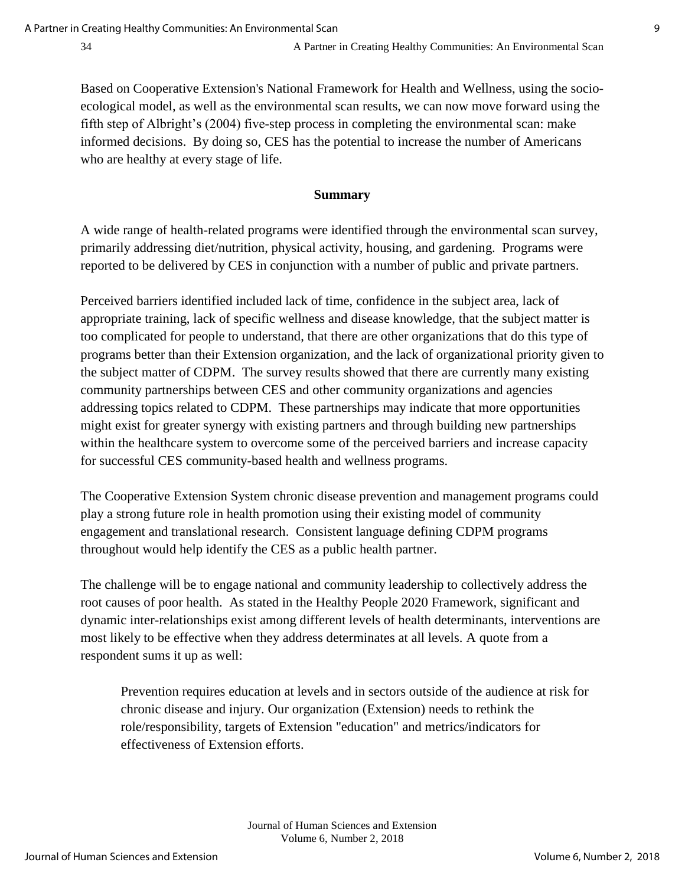Based on Cooperative Extension's National Framework for Health and Wellness, using the socioecological model, as well as the environmental scan results, we can now move forward using the fifth step of Albright's (2004) five-step process in completing the environmental scan: make informed decisions. By doing so, CES has the potential to increase the number of Americans who are healthy at every stage of life.

#### **Summary**

A wide range of health-related programs were identified through the environmental scan survey, primarily addressing diet/nutrition, physical activity, housing, and gardening. Programs were reported to be delivered by CES in conjunction with a number of public and private partners.

Perceived barriers identified included lack of time, confidence in the subject area, lack of appropriate training, lack of specific wellness and disease knowledge, that the subject matter is too complicated for people to understand, that there are other organizations that do this type of programs better than their Extension organization, and the lack of organizational priority given to the subject matter of CDPM. The survey results showed that there are currently many existing community partnerships between CES and other community organizations and agencies addressing topics related to CDPM. These partnerships may indicate that more opportunities might exist for greater synergy with existing partners and through building new partnerships within the healthcare system to overcome some of the perceived barriers and increase capacity for successful CES community-based health and wellness programs.

The Cooperative Extension System chronic disease prevention and management programs could play a strong future role in health promotion using their existing model of community engagement and translational research. Consistent language defining CDPM programs throughout would help identify the CES as a public health partner.

The challenge will be to engage national and community leadership to collectively address the root causes of poor health. As stated in the Healthy People 2020 Framework, significant and dynamic inter-relationships exist among different levels of health determinants, interventions are most likely to be effective when they address determinates at all levels. A quote from a respondent sums it up as well:

Prevention requires education at levels and in sectors outside of the audience at risk for chronic disease and injury. Our organization (Extension) needs to rethink the role/responsibility, targets of Extension "education" and metrics/indicators for effectiveness of Extension efforts.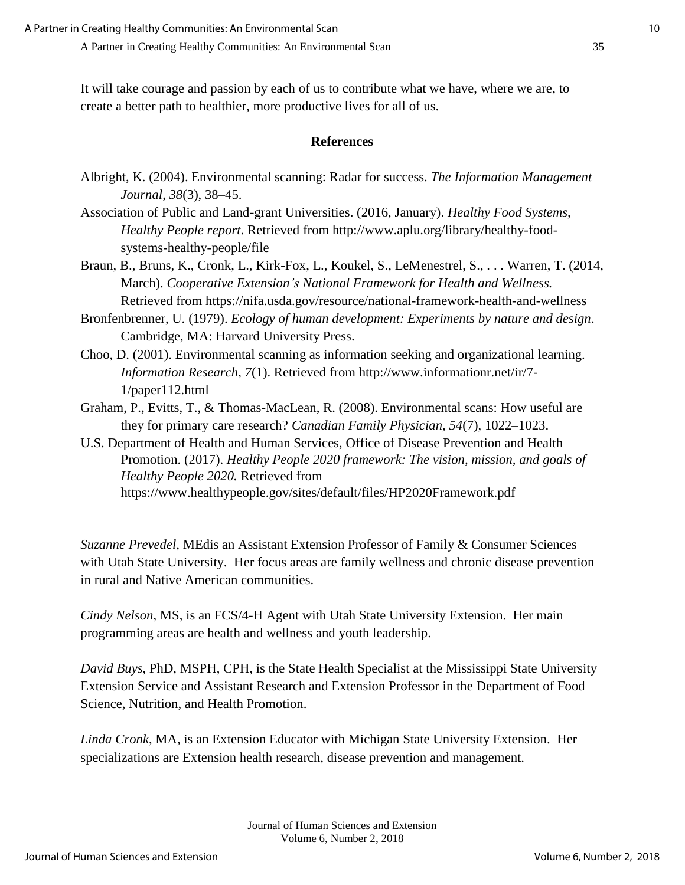It will take courage and passion by each of us to contribute what we have, where we are, to create a better path to healthier, more productive lives for all of us.

## **References**

- Albright, K. (2004). Environmental scanning: Radar for success. *The Information Management Journal*, *38*(3), 38–45.
- Association of Public and Land-grant Universities. (2016, January). *Healthy Food Systems, Healthy People report*. Retrieved from http://www.aplu.org/library/healthy-foodsystems-healthy-people/file
- Braun, B., Bruns, K., Cronk, L., Kirk-Fox, L., Koukel, S., LeMenestrel, S., . . . Warren, T. (2014, March). *Cooperative Extension's National Framework for Health and Wellness.* Retrieved from <https://nifa.usda.gov/resource/national-framework-health-and-wellness>
- Bronfenbrenner, U. (1979). *Ecology of human development: Experiments by nature and design*. Cambridge, MA: Harvard University Press.
- Choo, D. (2001). Environmental scanning as information seeking and organizational learning. *Information Research*, *7*(1). Retrieved from http://www.informationr.net/ir/7- 1/paper112.html
- Graham, P., Evitts, T., & Thomas-MacLean, R. (2008). Environmental scans: How useful are they for primary care research? *Canadian Family Physician*, *54*(7), 1022–1023.
- U.S. Department of Health and Human Services, Office of Disease Prevention and Health Promotion. (2017). *Healthy People 2020 framework: The vision, mission, and goals of Healthy People 2020.* Retrieved from https://www.healthypeople.gov/sites/default/files/HP2020Framework.pdf

*Suzanne Prevedel*, MEdis an Assistant Extension Professor of Family & Consumer Sciences with Utah State University. Her focus areas are family wellness and chronic disease prevention in rural and Native American communities.

*Cindy Nelson*, MS, is an FCS/4-H Agent with Utah State University Extension. Her main programming areas are health and wellness and youth leadership.

*David Buys*, PhD, MSPH, CPH, is the State Health Specialist at the Mississippi State University Extension Service and Assistant Research and Extension Professor in the Department of Food Science, Nutrition, and Health Promotion.

*Linda Cronk*, MA, is an Extension Educator with Michigan State University Extension. Her specializations are Extension health research, disease prevention and management.